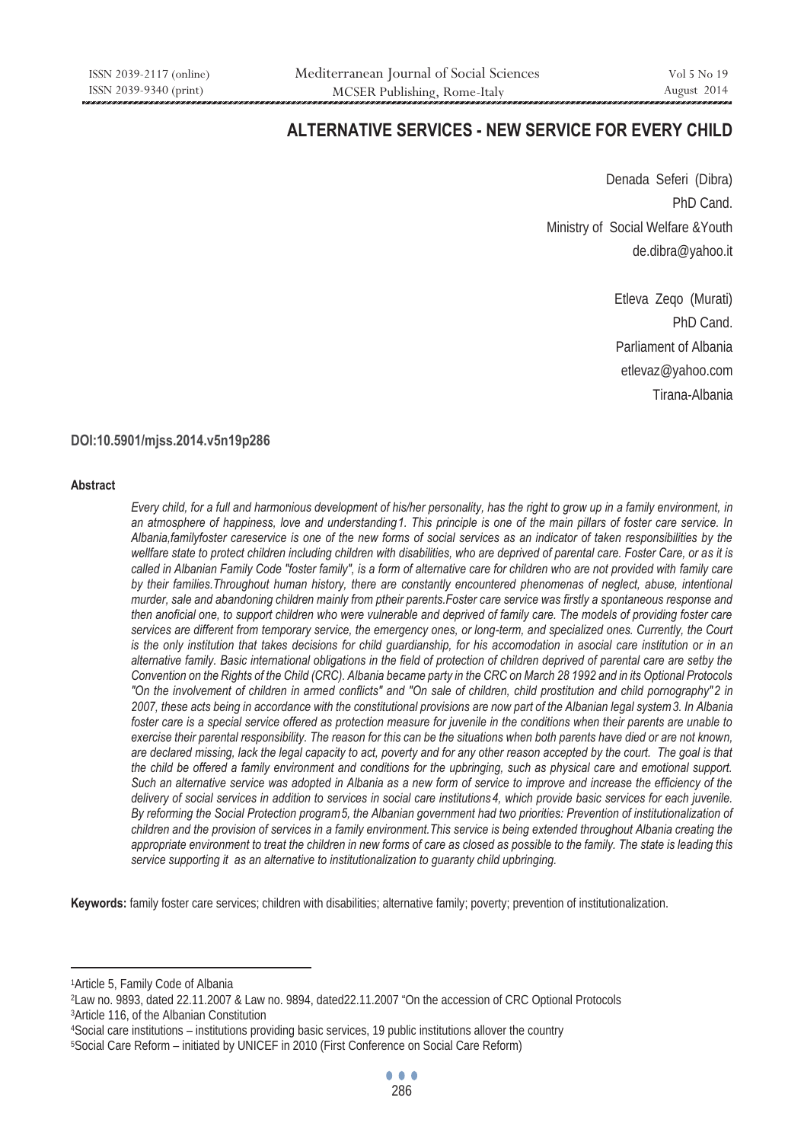# **ALTERNATIVE SERVICES - NEW SERVICE FOR EVERY CHILD**

Denada Seferi (Dibra) PhD Cand. Ministry of Social Welfare &Youth de.dibra@yahoo.it

> Etleva Zeqo (Murati) PhD Cand. Parliament of Albania etlevaz@yahoo.com Tirana-Albania

# **DOI:10.5901/mjss.2014.v5n19p286**

#### **Abstract**

*Every child, for a full and harmonious development of his/her personality, has the right to grow up in a family environment, in* an atmosphere of happiness, love and understanding 1. This principle is one of the main pillars of foster care service. In *Albania,familyfoster careservice is one of the new forms of social services as an indicator of taken responsibilities by the wellfare state to protect children including children with disabilities, who are deprived of parental care. Foster Care, or as it is*  called in Albanian Family Code "foster family", is a form of alternative care for children who are not provided with family care *by their families.Throughout human history, there are constantly encountered phenomenas of neglect, abuse, intentional murder, sale and abandoning children mainly from ptheir parents.Foster care service was firstly a spontaneous response and then anoficial one, to support children who were vulnerable and deprived of family care. The models of providing foster care services are different from temporary service, the emergency ones, or long-term, and specialized ones. Currently, the Court is the only institution that takes decisions for child guardianship, for his accomodation in asocial care institution or in an alternative family. Basic international obligations in the field of protection of children deprived of parental care are setby the Convention on the Rights of the Child (CRC). Albania became party in the CRC on March 28 1992 and in its Optional Protocols*  "On the involvement of children in armed conflicts" and "On sale of children, child prostitution and child pornography"2 in 2007, these acts being in accordance with the constitutional provisions are now part of the Albanian legal system 3. In Albania *foster care is a special service offered as protection measure for juvenile in the conditions when their parents are unable to exercise their parental responsibility. The reason for this can be the situations when both parents have died or are not known, are declared missing, lack the legal capacity to act, poverty and for any other reason accepted by the court. The goal is that the child be offered a family environment and conditions for the upbringing, such as physical care and emotional support. Such an alternative service was adopted in Albania as a new form of service to improve and increase the efficiency of the*  delivery of social services in addition to services in social care institutions<sup>4</sup>, which provide basic services for each juvenile. *By reforming the Social Protection program*<sup>5</sup>, the Albanian government had two priorities: Prevention of institutionalization of *children and the provision of services in a family environment.This service is being extended throughout Albania creating the appropriate environment to treat the children in new forms of care as closed as possible to the family. The state is leading this service supporting it as an alternative to institutionalization to guaranty child upbringing.* 

**Keywords:** family foster care services; children with disabilities; alternative family; poverty; prevention of institutionalization.

1Article 5, Family Code of Albania

 $\overline{a}$ 

<sup>&</sup>lt;sup>2</sup>Law no. 9893, dated 22.11.2007 & Law no. 9894, dated 22.11.2007 "On the accession of CRC Optional Protocols<br><sup>3</sup>Article 116, of the Albanian Constitution<br>"Social care institutions – institutions providing basic services,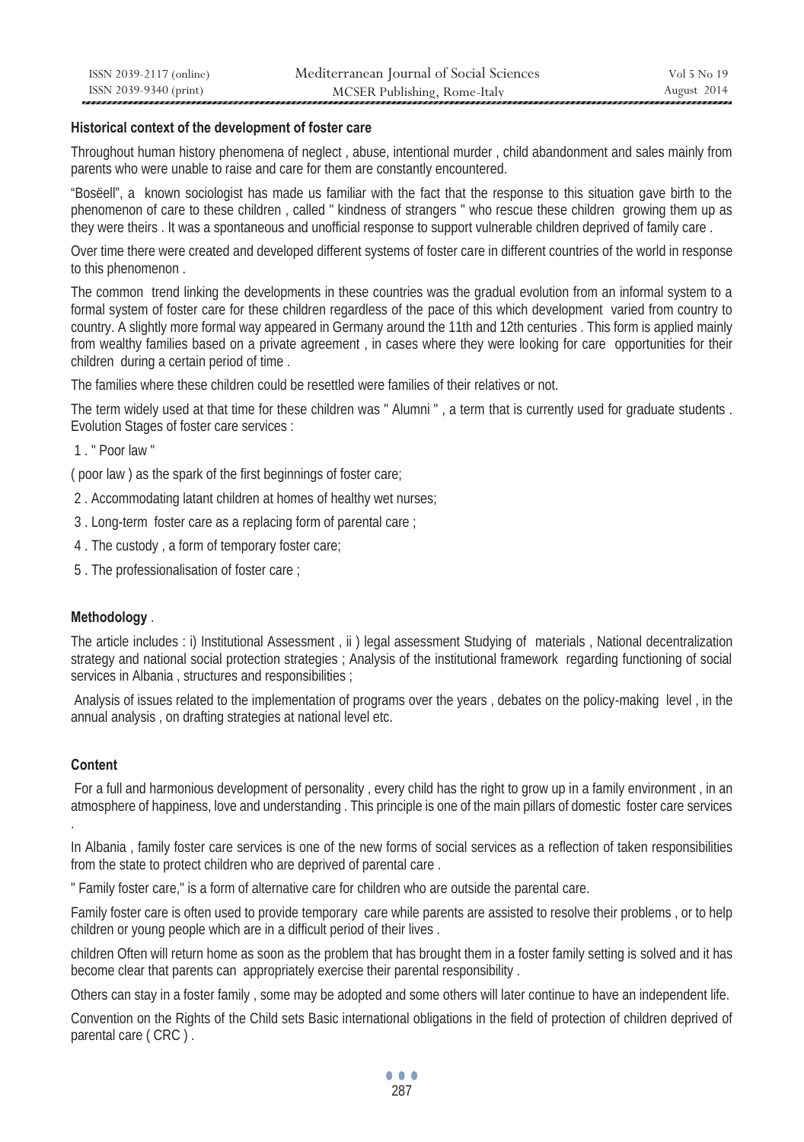### **Historical context of the development of foster care**

Throughout human history phenomena of neglect , abuse, intentional murder , child abandonment and sales mainly from parents who were unable to raise and care for them are constantly encountered.

"Bosëell", a known sociologist has made us familiar with the fact that the response to this situation gave birth to the phenomenon of care to these children , called " kindness of strangers " who rescue these children growing them up as they were theirs . It was a spontaneous and unofficial response to support vulnerable children deprived of family care .

Over time there were created and developed different systems of foster care in different countries of the world in response to this phenomenon .

The common trend linking the developments in these countries was the gradual evolution from an informal system to a formal system of foster care for these children regardless of the pace of this which development varied from country to country. A slightly more formal way appeared in Germany around the 11th and 12th centuries . This form is applied mainly from wealthy families based on a private agreement, in cases where they were looking for care opportunities for their children during a certain period of time .

The families where these children could be resettled were families of their relatives or not.

The term widely used at that time for these children was " Alumni " , a term that is currently used for graduate students . Evolution Stages of foster care services :

1 " Poor law "

( poor law ) as the spark of the first beginnings of foster care;

- 2 . Accommodating latant children at homes of healthy wet nurses;
- 3 . Long-term foster care as a replacing form of parental care ;
- 4 . The custody , a form of temporary foster care;
- 5 . The professionalisation of foster care ;

# **Methodology** .

The article includes : i) Institutional Assessment , ii ) legal assessment Studying of materials , National decentralization strategy and national social protection strategies ; Analysis of the institutional framework regarding functioning of social services in Albania, structures and responsibilities ;

 Analysis of issues related to the implementation of programs over the years , debates on the policy-making level , in the annual analysis , on drafting strategies at national level etc.

### **Content**

.

 For a full and harmonious development of personality , every child has the right to grow up in a family environment , in an atmosphere of happiness, love and understanding . This principle is one of the main pillars of domestic foster care services

In Albania , family foster care services is one of the new forms of social services as a reflection of taken responsibilities from the state to protect children who are deprived of parental care .

" Family foster care," is a form of alternative care for children who are outside the parental care.

Family foster care is often used to provide temporary care while parents are assisted to resolve their problems , or to help children or young people which are in a difficult period of their lives .

children Often will return home as soon as the problem that has brought them in a foster family setting is solved and it has become clear that parents can appropriately exercise their parental responsibility .

Others can stay in a foster family , some may be adopted and some others will later continue to have an independent life.

Convention on the Rights of the Child sets Basic international obligations in the field of protection of children deprived of parental care ( CRC ) .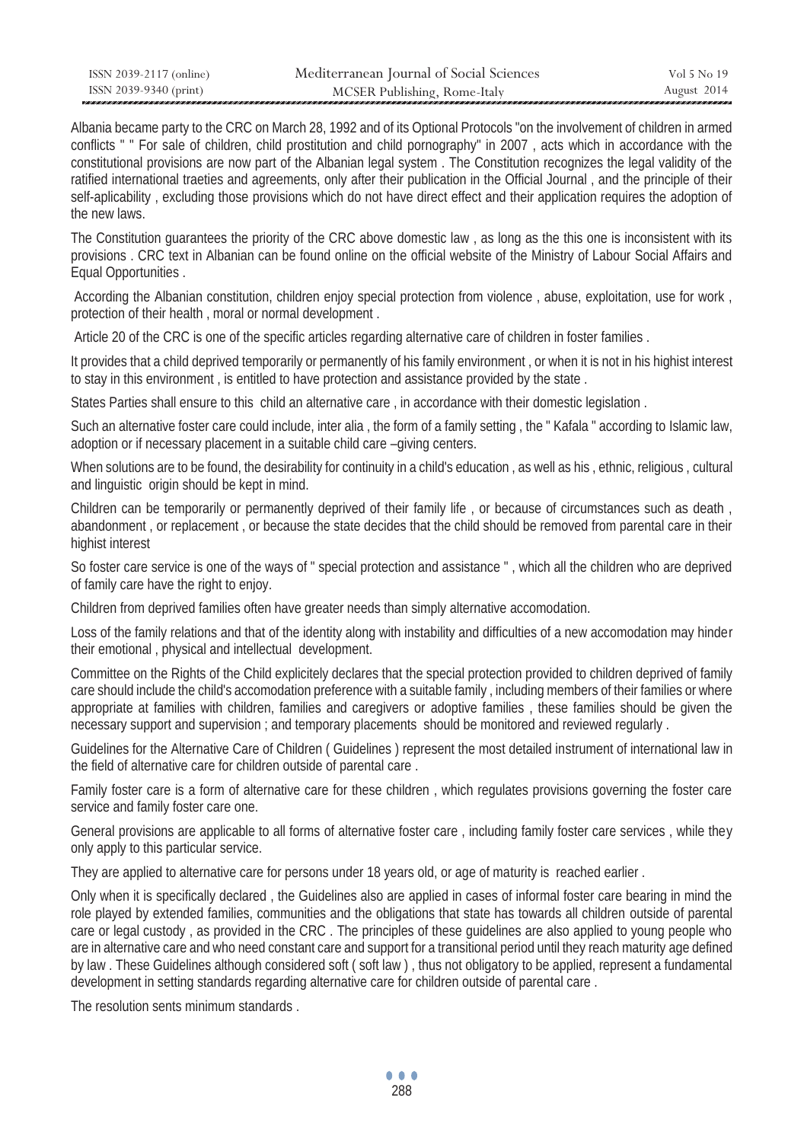| ISSN 2039-2117 (online) | Mediterranean Journal of Social Sciences | Vol 5 No 19 |
|-------------------------|------------------------------------------|-------------|
| ISSN 2039-9340 (print)  | MCSER Publishing, Rome-Italy             | August 2014 |

Albania became party to the CRC on March 28, 1992 and of its Optional Protocols "on the involvement of children in armed conflicts " " For sale of children, child prostitution and child pornography" in 2007 , acts which in accordance with the constitutional provisions are now part of the Albanian legal system . The Constitution recognizes the legal validity of the ratified international traeties and agreements, only after their publication in the Official Journal , and the principle of their self-aplicability , excluding those provisions which do not have direct effect and their application requires the adoption of the new laws.

The Constitution guarantees the priority of the CRC above domestic law , as long as the this one is inconsistent with its provisions . CRC text in Albanian can be found online on the official website of the Ministry of Labour Social Affairs and Equal Opportunities .

 According the Albanian constitution, children enjoy special protection from violence , abuse, exploitation, use for work , protection of their health , moral or normal development .

Article 20 of the CRC is one of the specific articles regarding alternative care of children in foster families .

It provides that a child deprived temporarily or permanently of his family environment , or when it is not in his highist interest to stay in this environment , is entitled to have protection and assistance provided by the state .

States Parties shall ensure to this child an alternative care , in accordance with their domestic legislation .

Such an alternative foster care could include, inter alia , the form of a family setting , the " Kafala " according to Islamic law, adoption or if necessary placement in a suitable child care –giving centers.

When solutions are to be found, the desirability for continuity in a child's education, as well as his, ethnic, religious, cultural and linguistic origin should be kept in mind.

Children can be temporarily or permanently deprived of their family life , or because of circumstances such as death , abandonment , or replacement , or because the state decides that the child should be removed from parental care in their highist interest

So foster care service is one of the ways of " special protection and assistance " , which all the children who are deprived of family care have the right to enjoy.

Children from deprived families often have greater needs than simply alternative accomodation.

Loss of the family relations and that of the identity along with instability and difficulties of a new accomodation may hinder their emotional , physical and intellectual development.

Committee on the Rights of the Child explicitely declares that the special protection provided to children deprived of family care should include the child's accomodation preference with a suitable family , including members of their families or where appropriate at families with children, families and caregivers or adoptive families , these families should be given the necessary support and supervision ; and temporary placements should be monitored and reviewed regularly .

Guidelines for the Alternative Care of Children ( Guidelines ) represent the most detailed instrument of international law in the field of alternative care for children outside of parental care .

Family foster care is a form of alternative care for these children , which regulates provisions governing the foster care service and family foster care one.

General provisions are applicable to all forms of alternative foster care , including family foster care services , while they only apply to this particular service.

They are applied to alternative care for persons under 18 years old, or age of maturity is reached earlier .

Only when it is specifically declared , the Guidelines also are applied in cases of informal foster care bearing in mind the role played by extended families, communities and the obligations that state has towards all children outside of parental care or legal custody , as provided in the CRC . The principles of these guidelines are also applied to young people who are in alternative care and who need constant care and support for a transitional period until they reach maturity age defined by law . These Guidelines although considered soft ( soft law ) , thus not obligatory to be applied, represent a fundamental development in setting standards regarding alternative care for children outside of parental care .

The resolution sents minimum standards .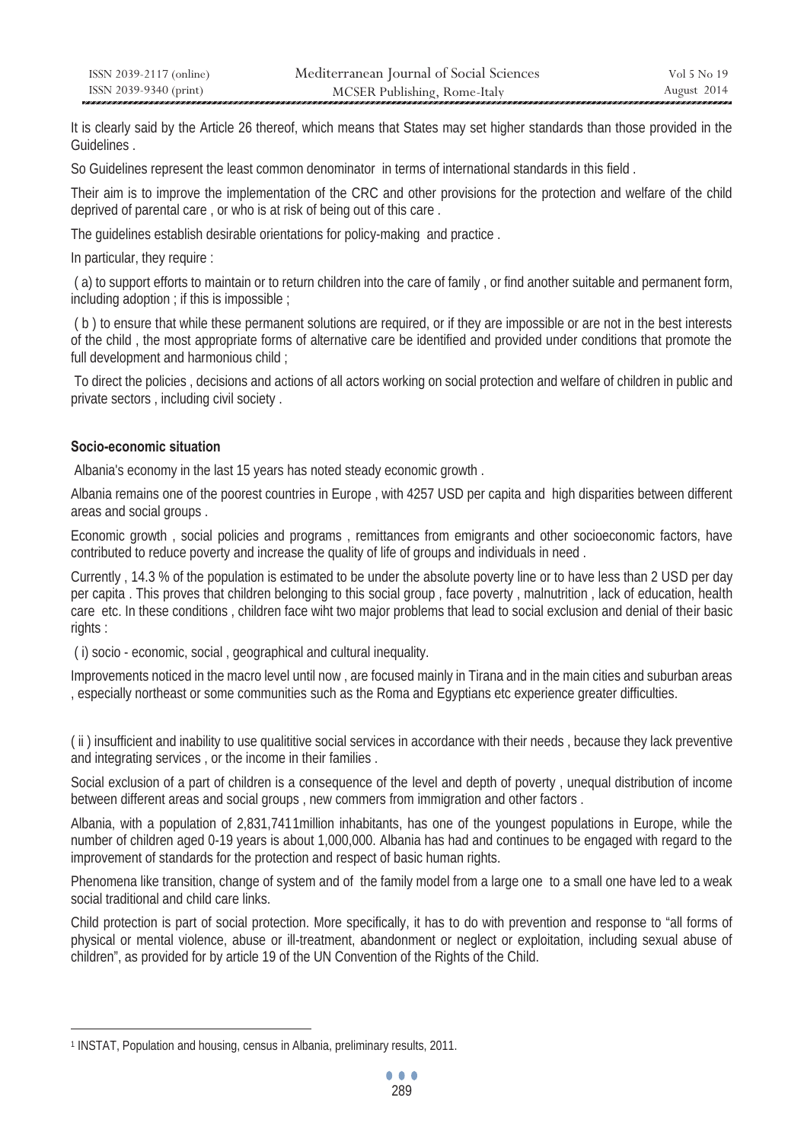It is clearly said by the Article 26 thereof, which means that States may set higher standards than those provided in the Guidelines .

So Guidelines represent the least common denominator in terms of international standards in this field .

Their aim is to improve the implementation of the CRC and other provisions for the protection and welfare of the child deprived of parental care , or who is at risk of being out of this care .

The guidelines establish desirable orientations for policy-making and practice .

In particular, they require :

 ( a) to support efforts to maintain or to return children into the care of family , or find another suitable and permanent form, including adoption ; if this is impossible ;

 ( b ) to ensure that while these permanent solutions are required, or if they are impossible or are not in the best interests of the child , the most appropriate forms of alternative care be identified and provided under conditions that promote the full development and harmonious child ;

 To direct the policies , decisions and actions of all actors working on social protection and welfare of children in public and private sectors , including civil society .

# **Socio-economic situation**

 $\overline{a}$ 

Albania's economy in the last 15 years has noted steady economic growth .

Albania remains one of the poorest countries in Europe , with 4257 USD per capita and high disparities between different areas and social groups .

Economic growth , social policies and programs , remittances from emigrants and other socioeconomic factors, have contributed to reduce poverty and increase the quality of life of groups and individuals in need .

Currently , 14.3 % of the population is estimated to be under the absolute poverty line or to have less than 2 USD per day per capita . This proves that children belonging to this social group , face poverty , malnutrition , lack of education, health care etc. In these conditions , children face wiht two major problems that lead to social exclusion and denial of their basic rights :

( i) socio - economic, social , geographical and cultural inequality.

Improvements noticed in the macro level until now , are focused mainly in Tirana and in the main cities and suburban areas , especially northeast or some communities such as the Roma and Egyptians etc experience greater difficulties.

( ii ) insufficient and inability to use qualititive social services in accordance with their needs , because they lack preventive and integrating services , or the income in their families .

Social exclusion of a part of children is a consequence of the level and depth of poverty , unequal distribution of income between different areas and social groups , new commers from immigration and other factors .

Albania, with a population of 2,831,7411 million inhabitants, has one of the youngest populations in Europe, while the number of children aged 0-19 years is about 1,000,000. Albania has had and continues to be engaged with regard to the improvement of standards for the protection and respect of basic human rights.

Phenomena like transition, change of system and of the family model from a large one to a small one have led to a weak social traditional and child care links.

Child protection is part of social protection. More specifically, it has to do with prevention and response to "all forms of physical or mental violence, abuse or ill-treatment, abandonment or neglect or exploitation, including sexual abuse of children", as provided for by article 19 of the UN Convention of the Rights of the Child.

<sup>1</sup> INSTAT, Population and housing, census in Albania, preliminary results, 2011.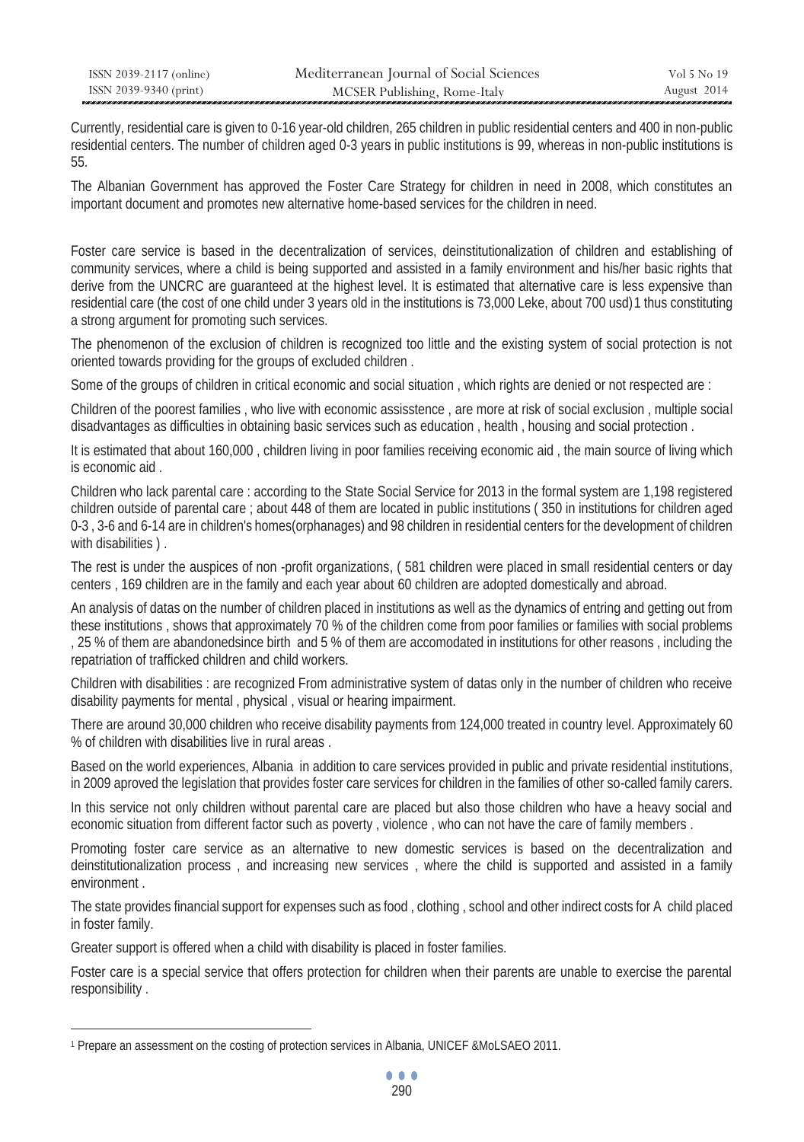| ISSN 2039-2117 (online) | Mediterranean Journal of Social Sciences | Vol 5 No 19 |
|-------------------------|------------------------------------------|-------------|
| ISSN 2039-9340 (print)  | MCSER Publishing, Rome-Italy             | August 2014 |

Currently, residential care is given to 0-16 year-old children, 265 children in public residential centers and 400 in non-public residential centers. The number of children aged 0-3 years in public institutions is 99, whereas in non-public institutions is 55.

The Albanian Government has approved the Foster Care Strategy for children in need in 2008, which constitutes an important document and promotes new alternative home-based services for the children in need.

Foster care service is based in the decentralization of services, deinstitutionalization of children and establishing of community services, where a child is being supported and assisted in a family environment and his/her basic rights that derive from the UNCRC are guaranteed at the highest level. It is estimated that alternative care is less expensive than residential care (the cost of one child under 3 years old in the institutions is 73,000 Leke, about 700 usd)1 thus constituting a strong argument for promoting such services.

The phenomenon of the exclusion of children is recognized too little and the existing system of social protection is not oriented towards providing for the groups of excluded children .

Some of the groups of children in critical economic and social situation , which rights are denied or not respected are :

Children of the poorest families , who live with economic assisstence , are more at risk of social exclusion , multiple social disadvantages as difficulties in obtaining basic services such as education , health , housing and social protection .

It is estimated that about 160,000, children living in poor families receiving economic aid, the main source of living which is economic aid .

Children who lack parental care : according to the State Social Service for 2013 in the formal system are 1,198 registered children outside of parental care ; about 448 of them are located in public institutions ( 350 in institutions for children aged 0-3 , 3-6 and 6-14 are in children's homes(orphanages) and 98 children in residential centers for the development of children with disabilities ).

The rest is under the auspices of non -profit organizations, ( 581 children were placed in small residential centers or day centers , 169 children are in the family and each year about 60 children are adopted domestically and abroad.

An analysis of datas on the number of children placed in institutions as well as the dynamics of entring and getting out from these institutions , shows that approximately 70 % of the children come from poor families or families with social problems , 25 % of them are abandonedsince birth and 5 % of them are accomodated in institutions for other reasons , including the repatriation of trafficked children and child workers.

Children with disabilities : are recognized From administrative system of datas only in the number of children who receive disability payments for mental , physical , visual or hearing impairment.

There are around 30,000 children who receive disability payments from 124,000 treated in country level. Approximately 60 % of children with disabilities live in rural areas .

Based on the world experiences, Albania in addition to care services provided in public and private residential institutions, in 2009 aproved the legislation that provides foster care services for children in the families of other so-called family carers.

In this service not only children without parental care are placed but also those children who have a heavy social and economic situation from different factor such as poverty , violence , who can not have the care of family members .

Promoting foster care service as an alternative to new domestic services is based on the decentralization and deinstitutionalization process , and increasing new services , where the child is supported and assisted in a family environment .

The state provides financial support for expenses such as food , clothing , school and other indirect costs for A child placed in foster family.

Greater support is offered when a child with disability is placed in foster families.

 $\overline{a}$ 

Foster care is a special service that offers protection for children when their parents are unable to exercise the parental responsibility .

<sup>1</sup> Prepare an assessment on the costing of protection services in Albania, UNICEF &MoLSAEO 2011.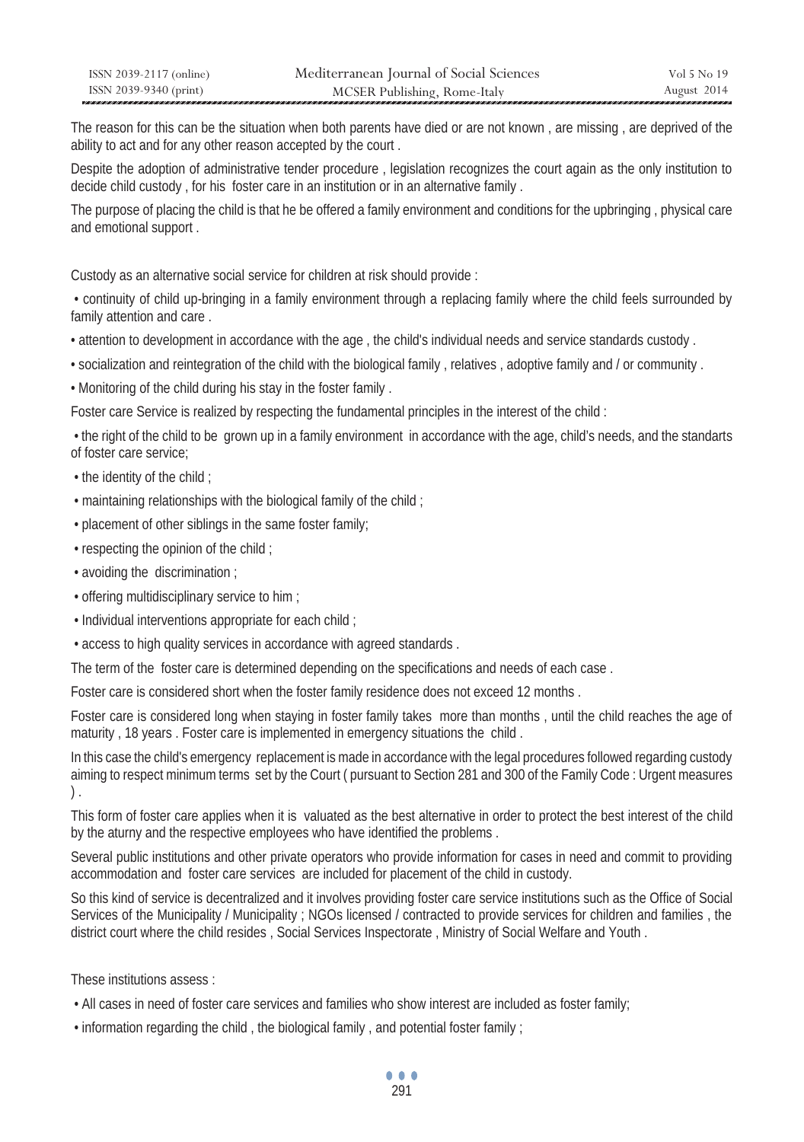| ISSN 2039-2117 (online) | Mediterranean Journal of Social Sciences | Vol 5 No 19 |
|-------------------------|------------------------------------------|-------------|
| ISSN 2039-9340 (print)  | MCSER Publishing, Rome-Italy             | August 2014 |

The reason for this can be the situation when both parents have died or are not known , are missing , are deprived of the ability to act and for any other reason accepted by the court .

Despite the adoption of administrative tender procedure, legislation recognizes the court again as the only institution to decide child custody , for his foster care in an institution or in an alternative family .

The purpose of placing the child is that he be offered a family environment and conditions for the upbringing , physical care and emotional support .

Custody as an alternative social service for children at risk should provide :

 • continuity of child up-bringing in a family environment through a replacing family where the child feels surrounded by family attention and care .

• attention to development in accordance with the age , the child's individual needs and service standards custody .

• socialization and reintegration of the child with the biological family , relatives , adoptive family and / or community .

• Monitoring of the child during his stay in the foster family .

Foster care Service is realized by respecting the fundamental principles in the interest of the child :

 • the right of the child to be grown up in a family environment in accordance with the age, child's needs, and the standarts of foster care service;

- the identity of the child ;
- maintaining relationships with the biological family of the child ;
- placement of other siblings in the same foster family;
- respecting the opinion of the child ;
- avoiding the discrimination ;
- offering multidisciplinary service to him ;
- Individual interventions appropriate for each child ;
- access to high quality services in accordance with agreed standards .

The term of the foster care is determined depending on the specifications and needs of each case .

Foster care is considered short when the foster family residence does not exceed 12 months .

Foster care is considered long when staying in foster family takes more than months , until the child reaches the age of maturity , 18 years . Foster care is implemented in emergency situations the child .

In this case the child's emergency replacement is made in accordance with the legal procedures followed regarding custody aiming to respect minimum terms set by the Court ( pursuant to Section 281 and 300 of the Family Code : Urgent measures ) .

This form of foster care applies when it is valuated as the best alternative in order to protect the best interest of the child by the aturny and the respective employees who have identified the problems .

Several public institutions and other private operators who provide information for cases in need and commit to providing accommodation and foster care services are included for placement of the child in custody.

So this kind of service is decentralized and it involves providing foster care service institutions such as the Office of Social Services of the Municipality / Municipality ; NGOs licensed / contracted to provide services for children and families , the district court where the child resides , Social Services Inspectorate , Ministry of Social Welfare and Youth .

These institutions assess :

- All cases in need of foster care services and families who show interest are included as foster family;
- information regarding the child , the biological family , and potential foster family ;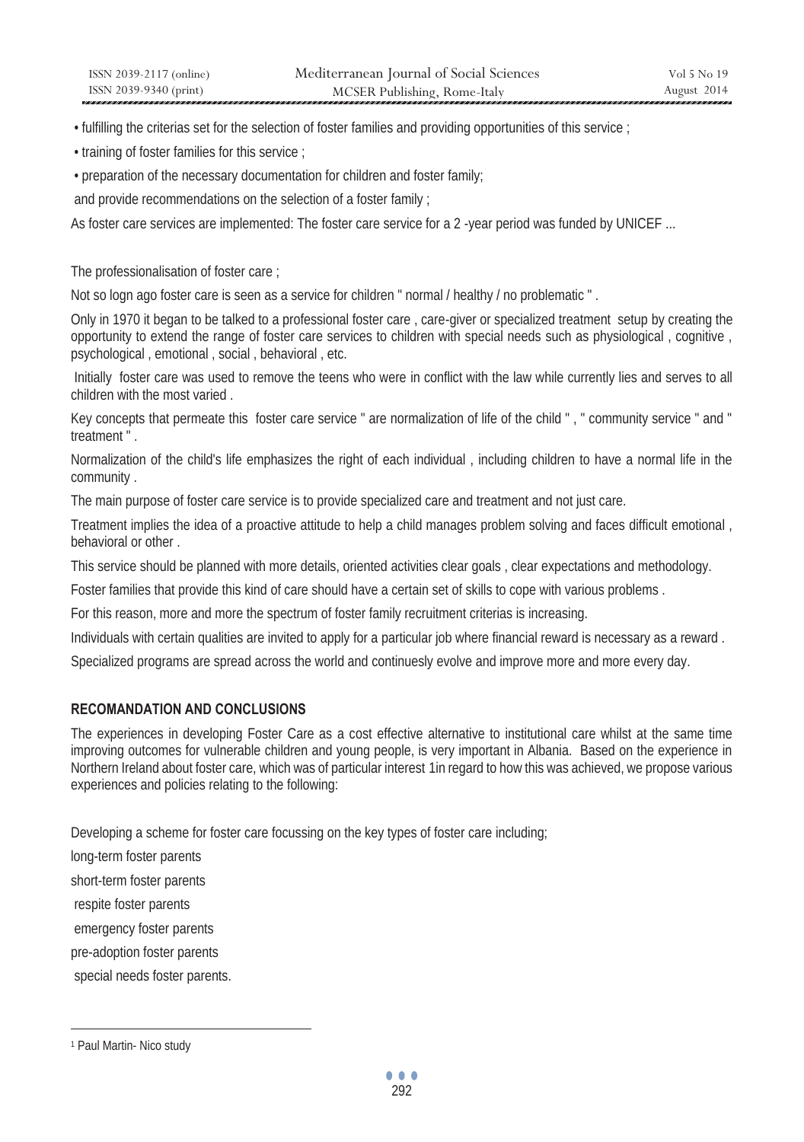• fulfilling the criterias set for the selection of foster families and providing opportunities of this service ;

• training of foster families for this service ;

• preparation of the necessary documentation for children and foster family;

and provide recommendations on the selection of a foster family ;

As foster care services are implemented: The foster care service for a 2-year period was funded by UNICEF ...

The professionalisation of foster care ;

Not so logn ago foster care is seen as a service for children " normal / healthy / no problematic " .

Only in 1970 it began to be talked to a professional foster care , care-giver or specialized treatment setup by creating the opportunity to extend the range of foster care services to children with special needs such as physiological , cognitive , psychological , emotional , social , behavioral , etc.

 Initially foster care was used to remove the teens who were in conflict with the law while currently lies and serves to all children with the most varied .

Key concepts that permeate this foster care service " are normalization of life of the child " , " community service " and " treatment " .

Normalization of the child's life emphasizes the right of each individual , including children to have a normal life in the community .

The main purpose of foster care service is to provide specialized care and treatment and not just care.

Treatment implies the idea of a proactive attitude to help a child manages problem solving and faces difficult emotional , behavioral or other .

This service should be planned with more details, oriented activities clear goals , clear expectations and methodology.

Foster families that provide this kind of care should have a certain set of skills to cope with various problems .

For this reason, more and more the spectrum of foster family recruitment criterias is increasing.

Individuals with certain qualities are invited to apply for a particular job where financial reward is necessary as a reward .

Specialized programs are spread across the world and continuesly evolve and improve more and more every day.

# **RECOMANDATION AND CONCLUSIONS**

The experiences in developing Foster Care as a cost effective alternative to institutional care whilst at the same time improving outcomes for vulnerable children and young people, is very important in Albania. Based on the experience in Northern Ireland about foster care, which was of particular interest 1in regard to how this was achieved, we propose various experiences and policies relating to the following:

Developing a scheme for foster care focussing on the key types of foster care including;

long-term foster parents

short-term foster parents

respite foster parents

emergency foster parents

pre-adoption foster parents

special needs foster parents.

 $\overline{a}$ 

<sup>1</sup> Paul Martin- Nico study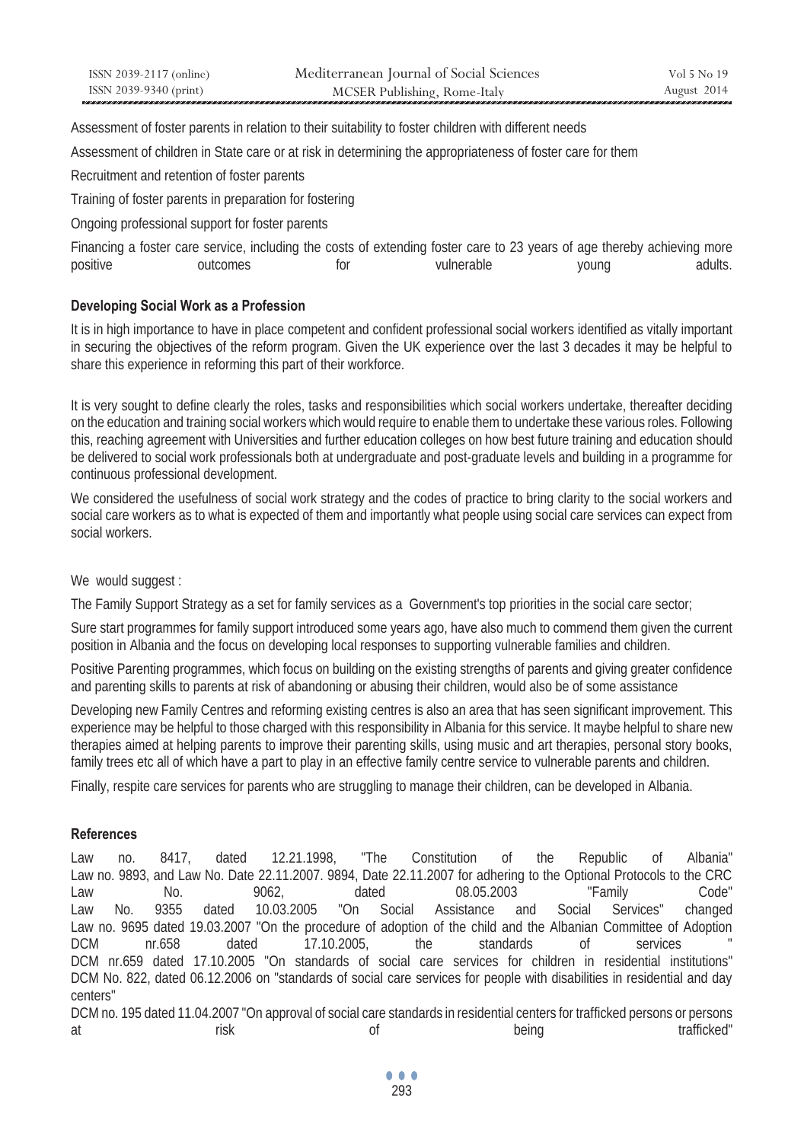| ISSN 2039-2117 (online) | Mediterranean Journal of Social Sciences | Vol 5 No 19 |
|-------------------------|------------------------------------------|-------------|
| ISSN 2039-9340 (print)  | MCSER Publishing, Rome-Italy             | August 2014 |

Assessment of foster parents in relation to their suitability to foster children with different needs

Assessment of children in State care or at risk in determining the appropriateness of foster care for them

Recruitment and retention of foster parents

Training of foster parents in preparation for fostering

Ongoing professional support for foster parents

|          | Financing a foster care service, including the costs of extending foster care to 23 years of age thereby achieving more |            |       |         |
|----------|-------------------------------------------------------------------------------------------------------------------------|------------|-------|---------|
| positive | outcomes                                                                                                                | vulnerable | young | adults. |

### **Developing Social Work as a Profession**

It is in high importance to have in place competent and confident professional social workers identified as vitally important in securing the objectives of the reform program. Given the UK experience over the last 3 decades it may be helpful to share this experience in reforming this part of their workforce.

It is very sought to define clearly the roles, tasks and responsibilities which social workers undertake, thereafter deciding on the education and training social workers which would require to enable them to undertake these various roles. Following this, reaching agreement with Universities and further education colleges on how best future training and education should be delivered to social work professionals both at undergraduate and post-graduate levels and building in a programme for continuous professional development.

We considered the usefulness of social work strategy and the codes of practice to bring clarity to the social workers and social care workers as to what is expected of them and importantly what people using social care services can expect from social workers.

We would suggest:

The Family Support Strategy as a set for family services as a Government's top priorities in the social care sector;

Sure start programmes for family support introduced some years ago, have also much to commend them given the current position in Albania and the focus on developing local responses to supporting vulnerable families and children.

Positive Parenting programmes, which focus on building on the existing strengths of parents and giving greater confidence and parenting skills to parents at risk of abandoning or abusing their children, would also be of some assistance

Developing new Family Centres and reforming existing centres is also an area that has seen significant improvement. This experience may be helpful to those charged with this responsibility in Albania for this service. It maybe helpful to share new therapies aimed at helping parents to improve their parenting skills, using music and art therapies, personal story books, family trees etc all of which have a part to play in an effective family centre service to vulnerable parents and children.

Finally, respite care services for parents who are struggling to manage their children, can be developed in Albania.

### **References**

Law no. 8417, dated 12.21.1998, "The Constitution of the Republic of Albania" Law no. 9893, and Law No. Date 22.11.2007. 9894, Date 22.11.2007 for adhering to the Optional Protocols to the CRC Law No. 9062, dated 08.05.2003 "Family Code" Law No. 9355 dated 10.03.2005 "On Social Assistance and Social Services" changed Law no. 9695 dated 19.03.2007 "On the procedure of adoption of the child and the Albanian Committee of Adoption DCM nr.658 dated 17.10.2005, the standards of services " DCM nr.659 dated 17.10.2005 "On standards of social care services for children in residential institutions" DCM No. 822, dated 06.12.2006 on "standards of social care services for people with disabilities in residential and day centers"

DCM no. 195 dated 11.04.2007 "On approval of social care standards in residential centers for trafficked persons or persons at trafficked" risk trafficked of being trafficked"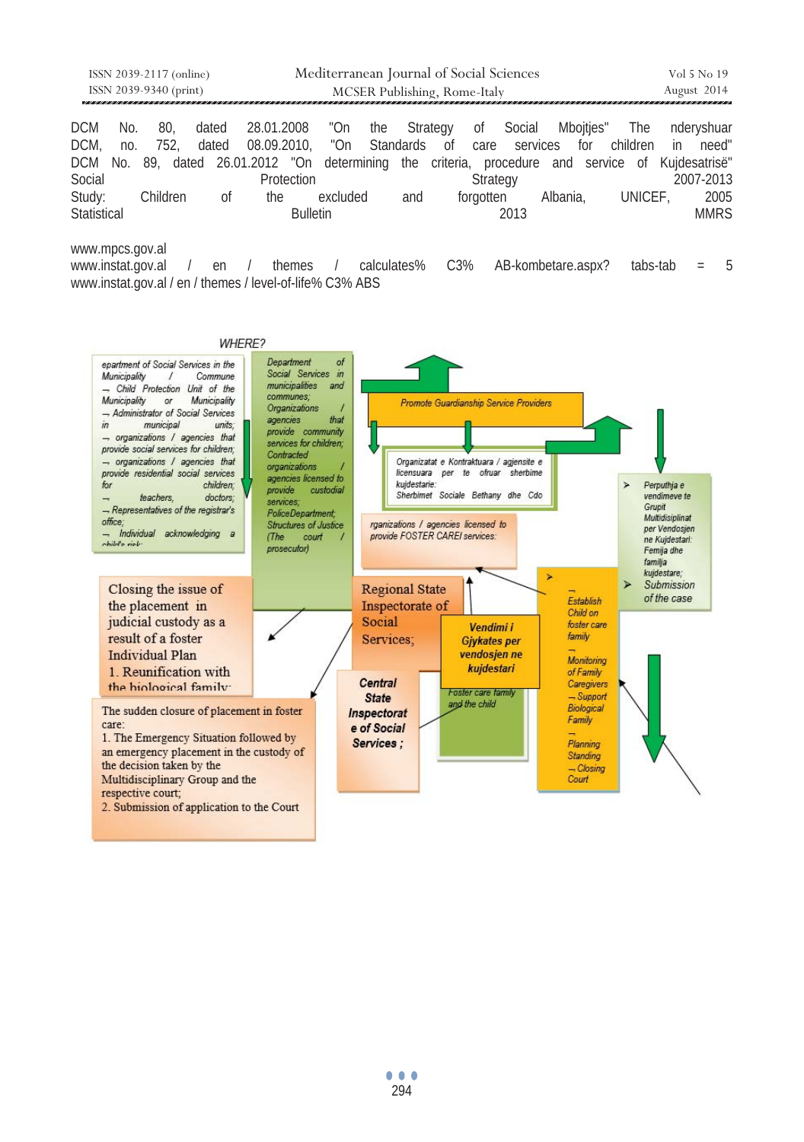|                        | ISSN 2039-2117 (online) |          |       |                                       |                              | Mediterranean Journal of Social Sciences |  |     |  | Vol 5 No 19 |             |              |          |                                                                                                   |
|------------------------|-------------------------|----------|-------|---------------------------------------|------------------------------|------------------------------------------|--|-----|--|-------------|-------------|--------------|----------|---------------------------------------------------------------------------------------------------|
| ISSN 2039-9340 (print) |                         |          |       |                                       | MCSER Publishing, Rome-Italy |                                          |  |     |  |             | August 2014 |              |          |                                                                                                   |
|                        |                         |          |       |                                       |                              |                                          |  |     |  |             |             |              |          |                                                                                                   |
| DCM.                   | No.                     | 80.      | dated | 28.01.2008 "On the Strategy of Social |                              |                                          |  |     |  |             |             | Mboities"    | The      | nderyshuar                                                                                        |
| DCM.                   | no.                     | 752.     | dated |                                       |                              | 08.09.2010, "On Standards of care        |  |     |  |             |             | services for | children | in<br>need"                                                                                       |
|                        |                         |          |       |                                       |                              |                                          |  |     |  |             |             |              |          | DCM No. 89, dated 26.01.2012 "On determining the criteria, procedure and service of Kujdesatrisë" |
| Social                 |                         |          |       |                                       | Protection                   |                                          |  |     |  | Strategy    |             |              |          | 2007-2013                                                                                         |
| Study:                 |                         | Children |       | 0f<br>the                             |                              | excluded                                 |  | and |  | forgotten   |             | Albania.     | UNICEF.  | 2005                                                                                              |
| Statistical            |                         |          |       |                                       | <b>Bulletin</b>              |                                          |  |     |  |             | 2013        |              |          | <b>MMRS</b>                                                                                       |

www.mpcs.gov.al

www.instat.gov.al / en / themes / calculates% C3% AB-kombetare.aspx? tabs-tab = 5 www.instat.gov.al / en / themes / level-of-life% C3% ABS